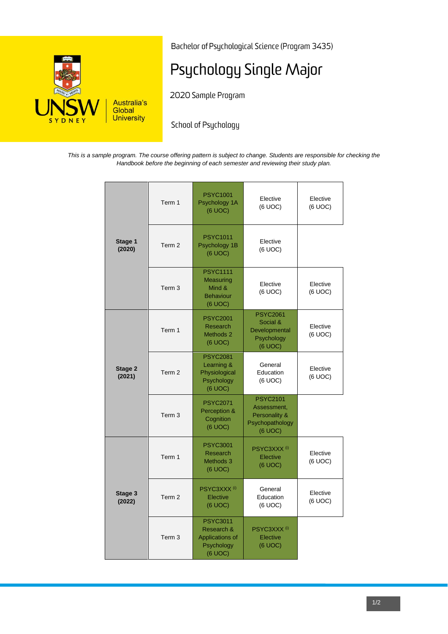

Bachelor of Psychological Science (Program 3435)

# Psychology Single Major

2020 Sample Program

School of Psychology

*This is a sample program. The course offering pattern is subject to change. Students are responsible for checking the Handbook before the beginning of each semester and reviewing their study plan.*

|                   | Term 1            | <b>PSYC1001</b><br>Psychology 1A<br>(6 UOC)                               | Elective<br>(6 UOC)                                                           | Elective<br>(6 UOC) |
|-------------------|-------------------|---------------------------------------------------------------------------|-------------------------------------------------------------------------------|---------------------|
| Stage 1<br>(2020) | Term 2            | <b>PSYC1011</b><br>Psychology 1B<br>(6 UOC)                               | Elective<br>(6 UOC)                                                           |                     |
|                   | Term <sub>3</sub> | <b>PSYC1111</b><br>Measuring<br>Mind &<br><b>Behaviour</b><br>(6 UOC)     | Elective<br>(6 UOC)                                                           | Elective<br>(6 UOC) |
| Stage 2<br>(2021) | Term 1            | <b>PSYC2001</b><br><b>Research</b><br>Methods 2<br>(6 UOC)                | <b>PSYC2061</b><br>Social &<br>Developmental<br>Psychology<br>$(6$ UOC $)$    | Elective<br>(6 UOC) |
|                   | Term <sub>2</sub> | <b>PSYC2081</b><br>Learning &<br>Physiological<br>Psychology<br>(6 UOC)   | General<br>Education<br>(6 UOC)                                               | Elective<br>(6 UOC) |
|                   | Term <sub>3</sub> | <b>PSYC2071</b><br>Perception &<br>Cognition<br>$(6$ UOC $)$              | <b>PSYC2101</b><br>Assessment,<br>Personality &<br>Psychopathology<br>(6 UOC) |                     |
|                   | Term 1            | <b>PSYC3001</b><br><b>Research</b><br>Methods 3<br>(6 UOC)                | PSYC3XXX <sup>(i)</sup><br>Elective<br>(6 UOC)                                | Elective<br>(6 UOC) |
| Stage 3<br>(2022) | Term <sub>2</sub> | PSYC3XXX <sup>(i)</sup><br>Elective<br>(6 UOC)                            | General<br>Education<br>(6 UOC)                                               | Elective<br>(6 UOC) |
|                   | Term <sub>3</sub> | <b>PSYC3011</b><br>Research &<br>Applications of<br>Psychology<br>(6 UOC) | PSYC3XXX <sup>(i)</sup><br>Elective<br>(6 UOC)                                |                     |